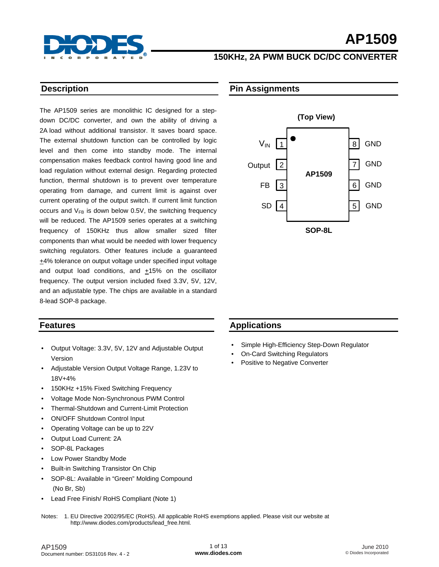

## **150KHz, 2A PWM BUCK DC/DC CONVERTER**

#### **Description**

The AP1509 series are monolithic IC designed for a stepdown DC/DC converter, and own the ability of driving a 2A load without additional transistor. It saves board space. The external shutdown function can be controlled by logic level and then come into standby mode. The internal compensation makes feedback control having good line and load regulation without external design. Regarding protected function, thermal shutdown is to prevent over temperature operating from damage, and current limit is against over current operating of the output switch. If current limit function occurs and  $V_{FB}$  is down below 0.5V, the switching frequency will be reduced. The AP1509 series operates at a switching frequency of 150KHz thus allow smaller sized filter components than what would be needed with lower frequency switching regulators. Other features include a guaranteed +4% tolerance on output voltage under specified input voltage and output load conditions, and  $+15%$  on the oscillator frequency. The output version included fixed 3.3V, 5V, 12V, and an adjustable type. The chips are available in a standard 8-lead SOP-8 package.

#### **Features**

- Output Voltage: 3.3V, 5V, 12V and Adjustable Output Version
- Adjustable Version Output Voltage Range, 1.23V to 18V+4%
- 150KHz +15% Fixed Switching Frequency
- Voltage Mode Non-Synchronous PWM Control
- Thermal-Shutdown and Current-Limit Protection
- ON/OFF Shutdown Control Input
- Operating Voltage can be up to 22V
- Output Load Current: 2A
- SOP-8L Packages
- Low Power Standby Mode
- Built-in Switching Transistor On Chip
- SOP-8L: Available in "Green" Molding Compound (No Br, Sb)
- Lead Free Finish/ RoHS Compliant (Note 1)

## **Pin Assignments**



#### **Applications**

- Simple High-Efficiency Step-Down Regulator
- On-Card Switching Regulators
- Positive to Negative Converter

Notes: 1. EU Directive 2002/95/EC (RoHS). All applicable RoHS exemptions applied. Please visit our website at [http://www.diodes.com/products/lead\\_free.html](http://www.diodes.com/products/lead_free.html)*.*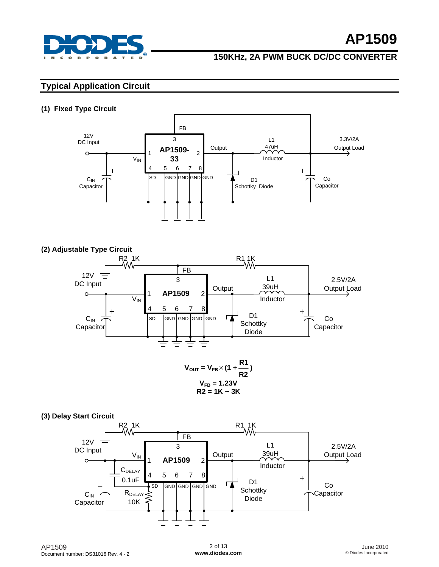

## **150KHz, 2A PWM BUCK DC/DC CONVERTER**

## **Typical Application Circuit**

#### **(1) Fixed Type Circuit**



#### **(2) Adjustable Type Circuit**



$$
V_{FB} = 1.23V
$$
  
R2 = 1K ~ 3K

#### **(3) Delay Start Circuit**

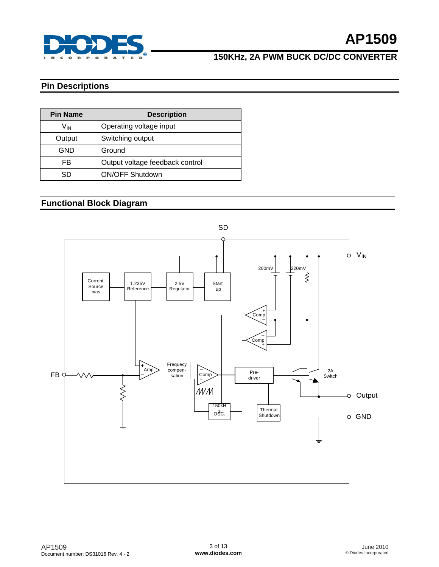

## **150KHz, 2A PWM BUCK DC/DC CONVERTER**

## **Pin Descriptions**

| <b>Pin Name</b> | <b>Description</b>              |  |  |  |  |
|-----------------|---------------------------------|--|--|--|--|
| V <sub>IN</sub> | Operating voltage input         |  |  |  |  |
| Output          | Switching output                |  |  |  |  |
| GND             | Ground                          |  |  |  |  |
| FB              | Output voltage feedback control |  |  |  |  |
| SD              | <b>ON/OFF Shutdown</b>          |  |  |  |  |

## **Functional Block Diagram**

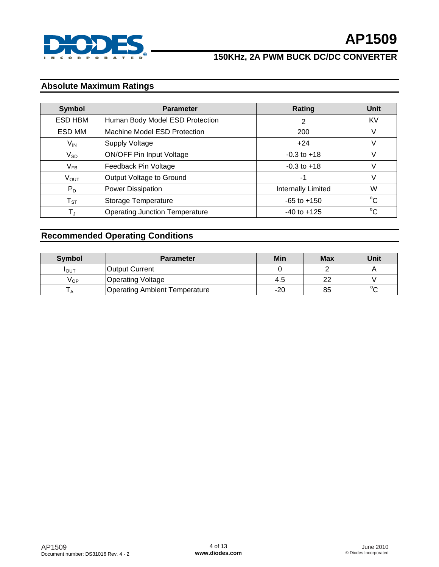

## **Absolute Maximum Ratings**

| <b>Symbol</b>                               | <b>Parameter</b>                      | Rating             | Unit        |
|---------------------------------------------|---------------------------------------|--------------------|-------------|
| ESD HBM                                     | Human Body Model ESD Protection       | 2                  | KV          |
| ESD MM                                      | Machine Model ESD Protection          | 200                | V           |
| $V_{IN}$                                    | <b>Supply Voltage</b>                 | $+24$              | V           |
| <b>ON/OFF Pin Input Voltage</b><br>$V_{SD}$ |                                       | $-0.3$ to $+18$    | V           |
| $V_{FB}$                                    | Feedback Pin Voltage                  | $-0.3$ to $+18$    | V           |
| $V_{OUT}$                                   | Output Voltage to Ground              | -1                 | V           |
| $P_D$                                       | <b>Power Dissipation</b>              | Internally Limited | W           |
| $T_{ST}$                                    | Storage Temperature                   | $-65$ to $+150$    | $^{\circ}C$ |
| $T_{J}$                                     | <b>Operating Junction Temperature</b> | $-40$ to $+125$    | $^{\circ}C$ |

## **Recommended Operating Conditions**

| <b>Symbol</b>   | <b>Parameter</b>                     | Min   | <b>Max</b> | Unit   |
|-----------------|--------------------------------------|-------|------------|--------|
| <b>I</b> OUT    | lOutput Current                      |       |            |        |
| V <sub>OP</sub> | <b>Operating Voltage</b>             | 4.5   | 22         |        |
| $\mathsf{A}$    | <b>Operating Ambient Temperature</b> | $-20$ | 85         | $\sim$ |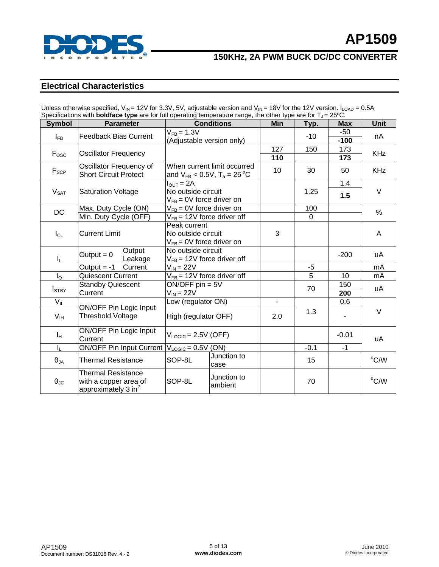

## **Electrical Characteristics**

| Specifications with <b>boldface type</b> are for full operating temperature range, the other type are for $T_J = 25^{\circ}C$ . |                                                                                      |                                                                              |                                                                                        |                |                    |                         |             |  |
|---------------------------------------------------------------------------------------------------------------------------------|--------------------------------------------------------------------------------------|------------------------------------------------------------------------------|----------------------------------------------------------------------------------------|----------------|--------------------|-------------------------|-------------|--|
| <b>Symbol</b>                                                                                                                   | <b>Parameter</b>                                                                     | <b>Conditions</b>                                                            |                                                                                        | <b>Min</b>     | Typ.               | <b>Max</b>              | <b>Unit</b> |  |
| $I_{FB}$                                                                                                                        | <b>Feedback Bias Current</b>                                                         | $V_{FB} = 1.3V$<br>(Adjustable version only)                                 |                                                                                        |                | $-10$              | $-50$<br>$-100$         | nA          |  |
| $F_{\rm osc}$                                                                                                                   | <b>Oscillator Frequency</b>                                                          |                                                                              |                                                                                        | 127<br>110     | 150                | 173<br>173              | <b>KHz</b>  |  |
| $F_{\text{SCP}}$                                                                                                                | Oscillator Frequency of<br><b>Short Circuit Protect</b>                              |                                                                              | When current limit occurred<br>and $V_{FB}$ < 0.5V, T <sub>a</sub> = 25 <sup>°</sup> C | 10             | 30                 | 50                      | <b>KHz</b>  |  |
| $V_{\text{SAT}}$                                                                                                                | <b>Saturation Voltage</b>                                                            | $I_{\text{OUT}} = 2A$<br>No outside circuit<br>$V_{FB}$ = 0V force driver on |                                                                                        |                | 1.25               | 1.4<br>1.5              | $\vee$      |  |
| <b>DC</b>                                                                                                                       | Max. Duty Cycle (ON)<br>Min. Duty Cycle (OFF)                                        | $V_{FB}$ = 0V force driver on                                                | $V_{FB}$ = 12V force driver off                                                        |                | 100<br>$\mathbf 0$ |                         | $\%$        |  |
| $I_{CL}$                                                                                                                        | <b>Current Limit</b>                                                                 | Peak current<br>No outside circuit<br>$V_{FB}$ = 0V force driver on          |                                                                                        | 3              |                    |                         | A           |  |
| I <sub>L</sub>                                                                                                                  | Output<br>Output = $0$<br>Leakage                                                    | No outside circuit<br>$V_{FB}$ = 12V force driver off                        |                                                                                        |                |                    | $-200$                  | uA          |  |
|                                                                                                                                 | Current<br>Output $= -1$                                                             | $V_{\text{IN}}$ = 22V                                                        |                                                                                        |                | $-5$               |                         | mA          |  |
| $I_{\mathsf{Q}}$                                                                                                                | Quiescent Current                                                                    |                                                                              | $V_{FB}$ = 12V force driver off                                                        |                | $\overline{5}$     | 10                      | mA          |  |
| $I_{\text{STBY}}$                                                                                                               | <b>Standby Quiescent</b><br>Current                                                  | $ON/OFF$ pin = $5V$<br>$V_{IN}$ = 22V                                        |                                                                                        |                | 70                 | 150<br>$\overline{200}$ | uA          |  |
| $V_{IL}$                                                                                                                        |                                                                                      | Low (regulator ON)                                                           |                                                                                        | $\blacksquare$ |                    | 0.6                     |             |  |
| V <sub>IH</sub>                                                                                                                 | ON/OFF Pin Logic Input<br><b>Threshold Voltage</b>                                   | High (regulator OFF)                                                         |                                                                                        | 2.0            | 1.3                |                         | $\vee$      |  |
| ΙH.                                                                                                                             | ON/OFF Pin Logic Input<br>Current                                                    | $V_{LOGIC} = 2.5V (OFF)$                                                     |                                                                                        |                |                    | $-0.01$                 | uA          |  |
| I <sub>L</sub>                                                                                                                  | <b>ON/OFF Pin Input Current</b>                                                      | $V_{LOGIC} = 0.5V$ (ON)                                                      |                                                                                        |                | $-1$<br>$-0.1$     |                         |             |  |
| $\pmb{\theta}_{\mathsf{JA}}$                                                                                                    | <b>Thermal Resistance</b>                                                            | SOP-8L                                                                       | Junction to<br>case                                                                    |                | 15                 |                         | °C/W        |  |
| $\theta_{\text{JC}}$                                                                                                            | <b>Thermal Resistance</b><br>with a copper area of<br>approximately $3 \text{ in}^2$ | SOP-8L                                                                       | Junction to<br>ambient                                                                 |                | 70                 |                         | °C/W        |  |

Unless otherwise specified,  $V_{\text{IN}} = 12V$  for 3.3V, 5V, adjustable version and  $V_{\text{IN}} = 18V$  for the 12V version.  $I_{\text{I}}$   $\alpha_{\text{IN}} = 0.5A$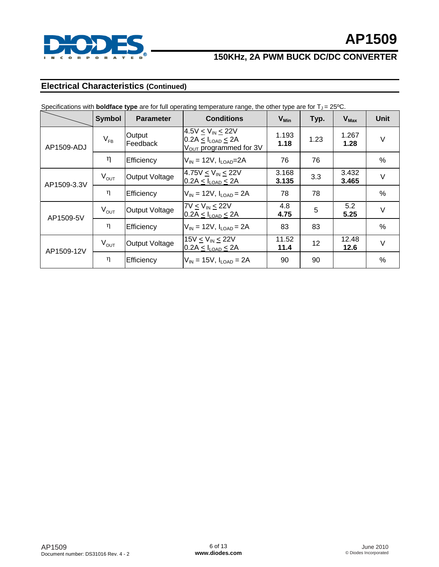

## **Electrical Characteristics (Continued)**

|             | <b>Symbol</b> | <b>Parameter</b>      | <b>Conditions</b>                                                                                  | $V_{Min}$      | Typ. | $V_{\text{Max}}$ | <b>Unit</b> |
|-------------|---------------|-----------------------|----------------------------------------------------------------------------------------------------|----------------|------|------------------|-------------|
| AP1509-ADJ  | $V_{FB}$      | Output<br>Feedback    | $4.5V < V_{IN} < 22V$<br>$0.2A \leq I_{\text{LOAD}} \leq 2A$<br>V <sub>OUT</sub> programmed for 3V | 1.193<br>1.18  | 1.23 | 1.267<br>1.28    | $\vee$      |
|             | η             | Efficiency            | $V_{\text{IN}}$ = 12V, $I_{\text{LOAD}}$ =2A                                                       | 76             | 76   |                  | %           |
| AP1509-3.3V | $V_{OUT}$     | Output Voltage        | $4.75V < V_{IN} \le 22V$<br>$0.2A \leq I_{LOAD} \leq 2A$                                           | 3.168<br>3.135 | 3.3  | 3.432<br>3.465   | V           |
|             | η             | Efficiency            | $V_{\text{IN}}$ = 12V, $I_{\text{LOAD}}$ = 2A                                                      | 78             | 78   |                  | %           |
| AP1509-5V   | $V_{OUT}$     | <b>Output Voltage</b> | $7V \leq V_{IN} \leq 22V$<br>$0.2A \leq I_{\text{LOAD}} \leq 2A$                                   | 4.8<br>4.75    | 5    | 5.2<br>5.25      | $\vee$      |
|             | η             | Efficiency            | $V_{\text{IN}}$ = 12V, $I_{\text{LOAD}}$ = 2A                                                      | 83             | 83   |                  | %           |
| AP1509-12V  | $V_{OUT}$     | Output Voltage        | $15V \leq V_{IN} \leq 22V$<br>$0.2A \leq I_{\text{LOAD}} \leq 2A$                                  | 11.52<br>11.4  | 12   | 12.48<br>12.6    | $\vee$      |
|             | η             | Efficiency            | $V_{\text{IN}} = 15V$ , $I_{\text{LOAD}} = 2A$                                                     | 90             | 90   |                  | %           |

Specifications with **boldface type** are for full operating temperature range, the other type are for T<sub>J</sub> = 25°C.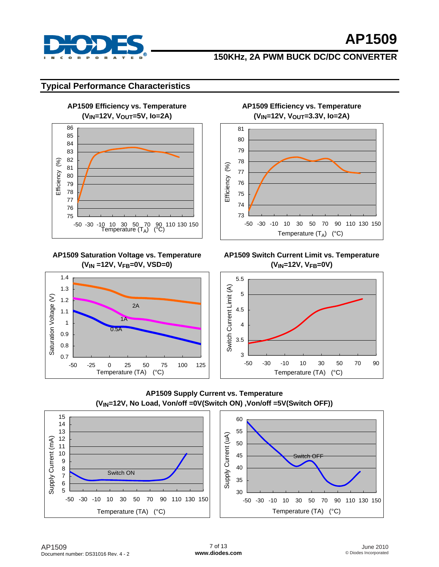

## **150KHz, 2A PWM BUCK DC/DC CONVERTER**

### **Typical Performance Characteristics**



#### **AP1509 Saturation Voltage vs. Temperature (VIN =12V, VFB=0V, VSD=0)**



**AP1509 Efficiency vs. Temperature (VIN=12V, VOUT=3.3V, Io=2A)** 



#### **AP1509 Switch Current Limit vs. Temperature (VIN=12V, VFB=0V)**



**AP1509 Supply Current vs. Temperature (VIN=12V, No Load, Von/off =0V(Switch ON) ,Von/off =5V(Switch OFF))**

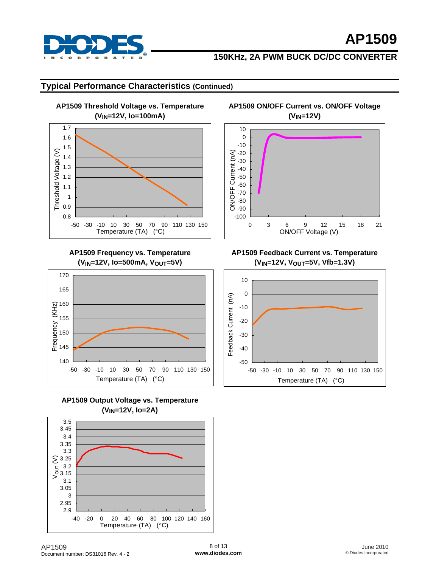

## **150KHz, 2A PWM BUCK DC/DC CONVERTER**

**AP1509 ON/OFF Current vs. ON/OFF Voltage** 

### **Typical Performance Characteristics (Continued)**

**AP1509 Threshold Voltage vs. Temperature (VIN=12V, Io=100mA)**  1.7 1.6 1.5 Threshold Voltage (V) Threshold Voltage (V) 1.4 1.3 1.2 1.1 1 0.9 0.8 -50 -30 -10 10 30 50 70 90 110 130 150 Temperature (TA) (°C)

**AP1509 Frequency vs. Temperature (VIN=12V, Io=500mA, VOUT=5V)** 







**(VIN=12V)**  10  $\overline{0}$ -10 ON/OFF Current (nA) -20 ON/OFF Current (nA) -30 -40 -50 -60 -70 -80 -90 -100 0 3 6 9 12 15 18 21

#### **AP1509 Feedback Current vs. Temperature (VIN=12V, VOUT=5V, Vfb=1.3V)**

ON/OFF Voltage (V)



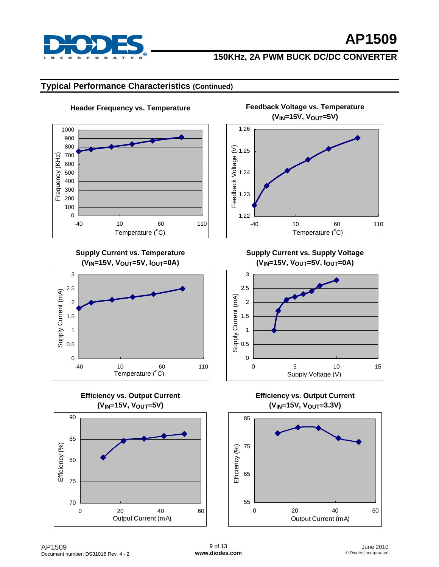

### **Typical Performance Characteristics (Continued)**



**Header Frequency vs. Temperature Feedback Voltage vs. Temperature (VIN=15V, VOUT=5V)** 



**Supply Current vs. Temperature (VIN=15V, VOUT=5V, lOUT=0A)** 



**Efficiency vs. Output Current (VIN=15V, VOUT=5V)** 



**Supply Current vs. Supply Voltage (VIN=15V, VOUT=5V, lOUT=0A)** 



**Efficiency vs. Output Current (VIN=15V, VOUT=3.3V)** 

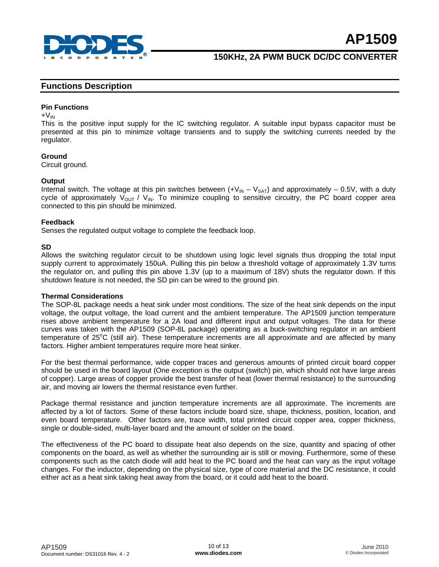

#### **Functions Description**

#### **Pin Functions**

 $+V_{IN}$ 

This is the positive input supply for the IC switching regulator. A suitable input bypass capacitor must be presented at this pin to minimize voltage transients and to supply the switching currents needed by the regulator.

#### **Ground**

Circuit ground.

#### **Output**

Internal switch. The voltage at this pin switches between  $(+V_{IN} - V_{SAT})$  and approximately – 0.5V, with a duty cycle of approximately  $V_{\text{OUT}}$  /  $V_{\text{IN}}$ . To minimize coupling to sensitive circuitry, the PC board copper area connected to this pin should be minimized.

#### **Feedback**

Senses the regulated output voltage to complete the feedback loop.

#### **SD**

Allows the switching regulator circuit to be shutdown using logic level signals thus dropping the total input supply current to approximately 150uA. Pulling this pin below a threshold voltage of approximately 1.3V turns the regulator on, and pulling this pin above 1.3V (up to a maximum of 18V) shuts the regulator down. If this shutdown feature is not needed, the SD pin can be wired to the ground pin.

#### **Thermal Considerations**

The SOP-8L package needs a heat sink under most conditions. The size of the heat sink depends on the input voltage, the output voltage, the load current and the ambient temperature. The AP1509 junction temperature rises above ambient temperature for a 2A load and different input and output voltages. The data for these curves was taken with the AP1509 (SOP-8L package) operating as a buck-switching regulator in an ambient temperature of 25°C (still air). These temperature increments are all approximate and are affected by many factors. Higher ambient temperatures require more heat sinker.

For the best thermal performance, wide copper traces and generous amounts of printed circuit board copper should be used in the board layout (One exception is the output (switch) pin, which should not have large areas of copper). Large areas of copper provide the best transfer of heat (lower thermal resistance) to the surrounding air, and moving air lowers the thermal resistance even further.

Package thermal resistance and junction temperature increments are all approximate. The increments are affected by a lot of factors. Some of these factors include board size, shape, thickness, position, location, and even board temperature. Other factors are, trace width, total printed circuit copper area, copper thickness, single or double-sided, multi-layer board and the amount of solder on the board.

The effectiveness of the PC board to dissipate heat also depends on the size, quantity and spacing of other components on the board, as well as whether the surrounding air is still or moving. Furthermore, some of these components such as the catch diode will add heat to the PC board and the heat can vary as the input voltage changes. For the inductor, depending on the physical size, type of core material and the DC resistance, it could either act as a heat sink taking heat away from the board, or it could add heat to the board.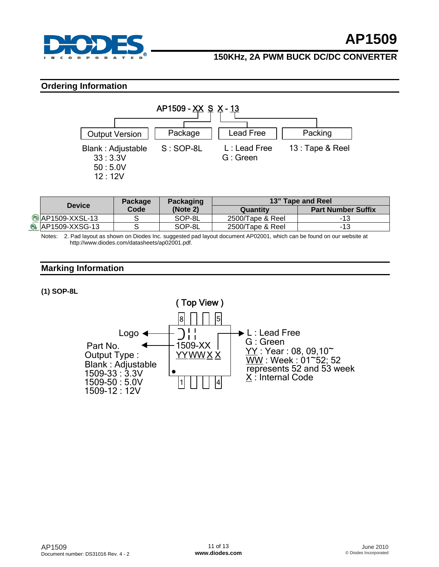

#### **Ordering Information**



| <b>Device</b>                      | Package | <b>Packaging</b> | <b>13" Tape and Reel</b> |                           |  |
|------------------------------------|---------|------------------|--------------------------|---------------------------|--|
|                                    | Code    | (Note 2)         | Quantity                 | <b>Part Number Suffix</b> |  |
| <b><sup>6</sup></b> AP1509-XXSL-13 |         | SOP-8L           | 2500/Tape & Reel         | -13                       |  |
| <b>B</b> AP1509-XXSG-13            |         | SOP-8L           | 2500/Tape & Reel         | -13                       |  |

Notes: 2. Pad layout as shown on Diodes Inc. suggested pad layout document AP02001, which can be found on our website at [http://www.diodes.com/datasheets/ap02001.pdf.](http://www.diodes.com/datasheets/ap02001.pdf)

### **Marking Information**

**(1) SOP-8L** 

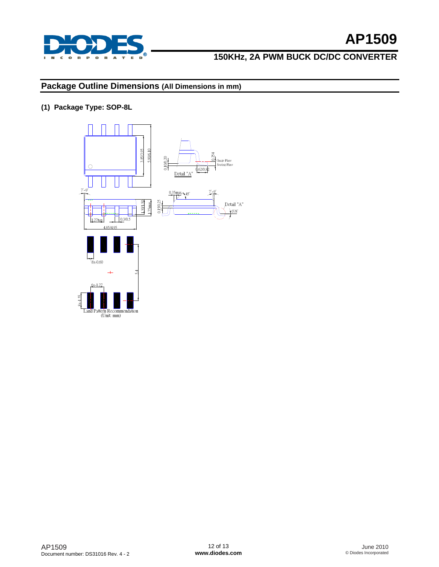

## **150KHz, 2A PWM BUCK DC/DC CONVERTER**

## **Package Outline Dimensions (All Dimensions in mm)**

**(1) Package Type: SOP-8L**